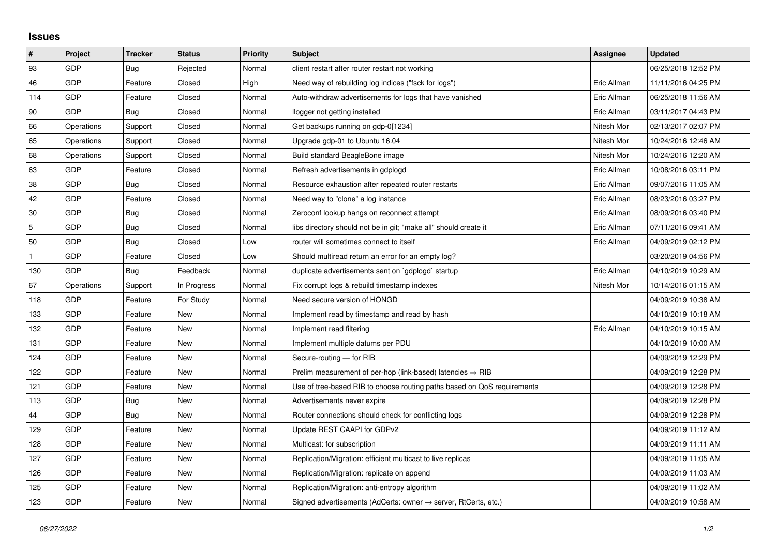## **Issues**

| $\vert$ #      | Project    | <b>Tracker</b> | <b>Status</b> | <b>Priority</b> | <b>Subject</b>                                                             | Assignee    | <b>Updated</b>      |
|----------------|------------|----------------|---------------|-----------------|----------------------------------------------------------------------------|-------------|---------------------|
| 93             | GDP        | Bug            | Rejected      | Normal          | client restart after router restart not working                            |             | 06/25/2018 12:52 PM |
| 46             | GDP        | Feature        | Closed        | High            | Need way of rebuilding log indices ("fsck for logs")                       | Eric Allman | 11/11/2016 04:25 PM |
| 114            | GDP        | Feature        | Closed        | Normal          | Auto-withdraw advertisements for logs that have vanished                   | Eric Allman | 06/25/2018 11:56 AM |
| 90             | GDP        | Bug            | Closed        | Normal          | llogger not getting installed                                              | Eric Allman | 03/11/2017 04:43 PM |
| 66             | Operations | Support        | Closed        | Normal          | Get backups running on gdp-0[1234]                                         | Nitesh Mor  | 02/13/2017 02:07 PM |
| 65             | Operations | Support        | Closed        | Normal          | Upgrade gdp-01 to Ubuntu 16.04                                             | Nitesh Mor  | 10/24/2016 12:46 AM |
| 68             | Operations | Support        | Closed        | Normal          | Build standard BeagleBone image                                            | Nitesh Mor  | 10/24/2016 12:20 AM |
| 63             | GDP        | Feature        | Closed        | Normal          | Refresh advertisements in gdplogd                                          | Eric Allman | 10/08/2016 03:11 PM |
| 38             | GDP        | Bug            | Closed        | Normal          | Resource exhaustion after repeated router restarts                         | Eric Allman | 09/07/2016 11:05 AM |
| 42             | GDP        | Feature        | Closed        | Normal          | Need way to "clone" a log instance                                         | Eric Allman | 08/23/2016 03:27 PM |
| 30             | GDP        | Bug            | Closed        | Normal          | Zeroconf lookup hangs on reconnect attempt                                 | Eric Allman | 08/09/2016 03:40 PM |
| $\overline{5}$ | GDP        | Bug            | Closed        | Normal          | libs directory should not be in git; "make all" should create it           | Eric Allman | 07/11/2016 09:41 AM |
| 50             | GDP        | Bug            | Closed        | Low             | router will sometimes connect to itself                                    | Eric Allman | 04/09/2019 02:12 PM |
| $\mathbf{1}$   | GDP        | Feature        | Closed        | Low             | Should multiread return an error for an empty log?                         |             | 03/20/2019 04:56 PM |
| 130            | GDP        | Bug            | Feedback      | Normal          | duplicate advertisements sent on `gdplogd` startup                         | Eric Allman | 04/10/2019 10:29 AM |
| 67             | Operations | Support        | In Progress   | Normal          | Fix corrupt logs & rebuild timestamp indexes                               | Nitesh Mor  | 10/14/2016 01:15 AM |
| 118            | GDP        | Feature        | For Study     | Normal          | Need secure version of HONGD                                               |             | 04/09/2019 10:38 AM |
| 133            | GDP        | Feature        | New           | Normal          | Implement read by timestamp and read by hash                               |             | 04/10/2019 10:18 AM |
| 132            | GDP        | Feature        | New           | Normal          | Implement read filtering                                                   | Eric Allman | 04/10/2019 10:15 AM |
| 131            | GDP        | Feature        | New           | Normal          | Implement multiple datums per PDU                                          |             | 04/10/2019 10:00 AM |
| 124            | GDP        | Feature        | New           | Normal          | Secure-routing - for RIB                                                   |             | 04/09/2019 12:29 PM |
| 122            | GDP        | Feature        | New           | Normal          | Prelim measurement of per-hop (link-based) latencies $\Rightarrow$ RIB     |             | 04/09/2019 12:28 PM |
| 121            | GDP        | Feature        | New           | Normal          | Use of tree-based RIB to choose routing paths based on QoS requirements    |             | 04/09/2019 12:28 PM |
| 113            | GDP        | Bug            | New           | Normal          | Advertisements never expire                                                |             | 04/09/2019 12:28 PM |
| 44             | GDP        | Bug            | New           | Normal          | Router connections should check for conflicting logs                       |             | 04/09/2019 12:28 PM |
| 129            | GDP        | Feature        | New           | Normal          | Update REST CAAPI for GDPv2                                                |             | 04/09/2019 11:12 AM |
| 128            | GDP        | Feature        | New           | Normal          | Multicast: for subscription                                                |             | 04/09/2019 11:11 AM |
| 127            | GDP        | Feature        | New           | Normal          | Replication/Migration: efficient multicast to live replicas                |             | 04/09/2019 11:05 AM |
| 126            | GDP        | Feature        | New           | Normal          | Replication/Migration: replicate on append                                 |             | 04/09/2019 11:03 AM |
| 125            | GDP        | Feature        | New           | Normal          | Replication/Migration: anti-entropy algorithm                              |             | 04/09/2019 11:02 AM |
| 123            | GDP        | Feature        | <b>New</b>    | Normal          | Signed advertisements (AdCerts: owner $\rightarrow$ server, RtCerts, etc.) |             | 04/09/2019 10:58 AM |